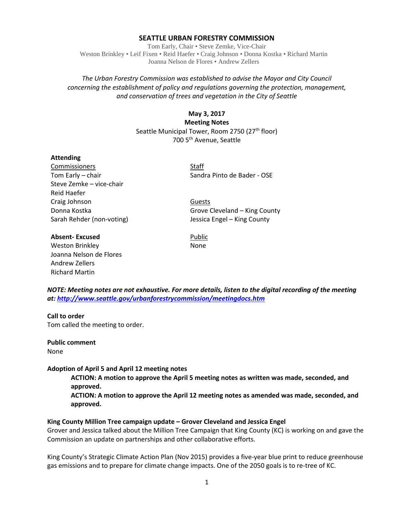## **SEATTLE URBAN FORESTRY COMMISSION**

Tom Early, Chair • Steve Zemke, Vice-Chair Weston Brinkley • Leif Fixen • Reid Haefer • Craig Johnson • Donna Kostka • Richard Martin Joanna Nelson de Flores • Andrew Zellers

## *The Urban Forestry Commission was established to advise the Mayor and City Council concerning the establishment of policy and regulations governing the protection, management, and conservation of trees and vegetation in the City of Seattle*

# **May 3, 2017 Meeting Notes** Seattle Municipal Tower, Room 2750 (27<sup>th</sup> floor) 700 5th Avenue, Seattle

#### **Attending**

Commissioners Staff Steve Zemke – vice-chair Reid Haefer Craig Johnson **Guests** 

## **Absent-Excused** Public

Weston Brinkley None Joanna Nelson de Flores Andrew Zellers Richard Martin

Tom Early – chair Sandra Pinto de Bader - OSE

Donna Kostka Grove Cleveland – King County Sarah Rehder (non-voting) Jessica Engel – King County

*NOTE: Meeting notes are not exhaustive. For more details, listen to the digital recording of the meeting at:<http://www.seattle.gov/urbanforestrycommission/meetingdocs.htm>*

## **Call to order**

Tom called the meeting to order.

**Public comment** None

#### **Adoption of April 5 and April 12 meeting notes**

**ACTION: A motion to approve the April 5 meeting notes as written was made, seconded, and approved.**

**ACTION: A motion to approve the April 12 meeting notes as amended was made, seconded, and approved.**

#### **King County Million Tree campaign update – Grover Cleveland and Jessica Engel**

Grover and Jessica talked about the Million Tree Campaign that King County (KC) is working on and gave the Commission an update on partnerships and other collaborative efforts.

King County's Strategic Climate Action Plan (Nov 2015) provides a five-year blue print to reduce greenhouse gas emissions and to prepare for climate change impacts. One of the 2050 goals is to re-tree of KC.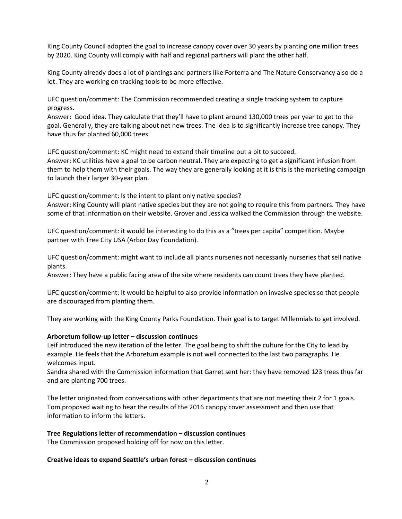King County Council adopted the goal to increase canopy cover over 30 years by planting one million trees by 2020. King County will comply with half and regional partners will plant the other half.

King County already does a lot of plantings and partners like Forterra and The Nature Conservancy also do a lot. They are working on tracking tools to be more effective.

UFC question/comment: The Commission recommended creating a single tracking system to capture progress.

Answer: Good idea. They calculate that they'll have to plant around 130,000 trees per year to get to the goal. Generally, they are talking about net new trees. The idea is to significantly increase tree canopy. They have thus far planted 60,000 trees.

UFC question/comment: KC might need to extend their timeline out a bit to succeed.

Answer: KC utilities have a goal to be carbon neutral. They are expecting to get a significant infusion from them to help them with their goals. The way they are generally looking at it is this is the marketing campaign to launch their larger 30-year plan.

UFC question/comment: Is the intent to plant only native species? Answer: King County will plant native species but they are not going to require this from partners. They have some of that information on their website. Grover and Jessica walked the Commission through the website.

UFC question/comment: it would be interesting to do this as a "trees per capita" competition. Maybe partner with Tree City USA (Arbor Day Foundation).

UFC question/comment: might want to include all plants nurseries not necessarily nurseries that sell native plants.

Answer: They have a public facing area of the site where residents can count trees they have planted.

UFC question/comment: It would be helpful to also provide information on invasive species so that people are discouraged from planting them.

They are working with the King County Parks Foundation. Their goal is to target Millennials to get involved.

#### **Arboretum follow-up letter – discussion continues**

Leif introduced the new iteration of the letter. The goal being to shift the culture for the City to lead by example. He feels that the Arboretum example is not well connected to the last two paragraphs. He welcomes input.

Sandra shared with the Commission information that Garret sent her: they have removed 123 trees thus far and are planting 700 trees.

The letter originated from conversations with other departments that are not meeting their 2 for 1 goals. Tom proposed waiting to hear the results of the 2016 canopy cover assessment and then use that information to inform the letters.

#### **Tree Regulations letter of recommendation – discussion continues**

The Commission proposed holding off for now on this letter.

#### **Creative ideas to expand Seattle's urban forest – discussion continues**